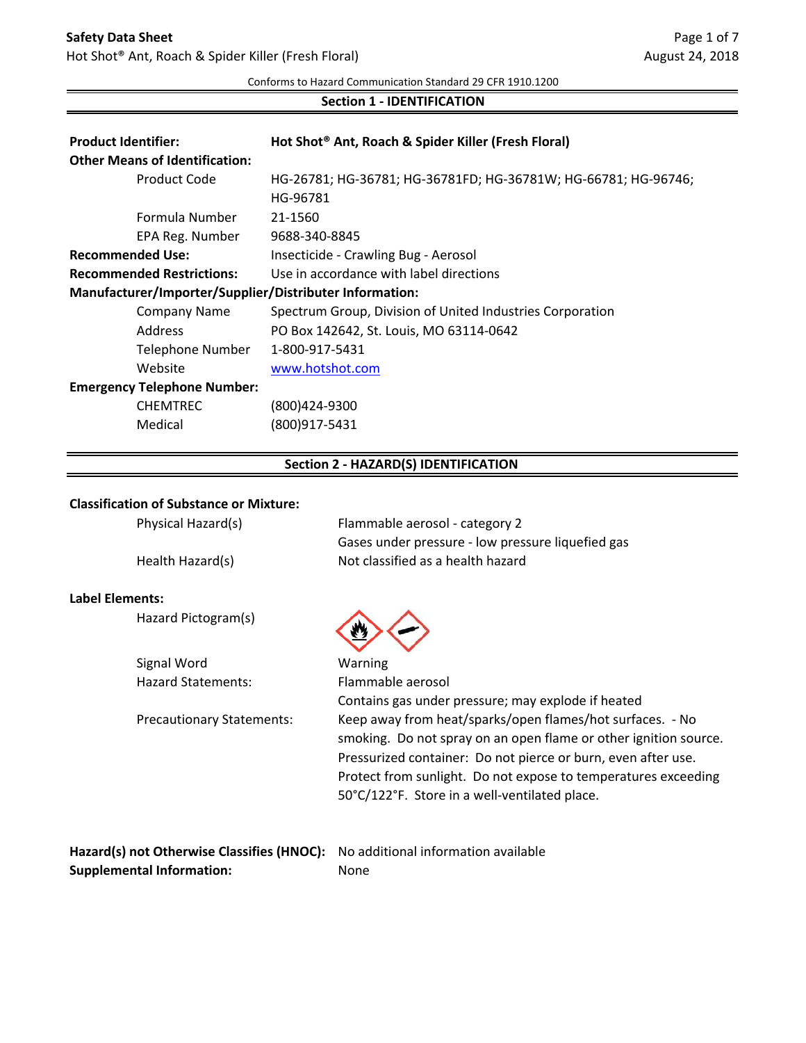# **Safety Data Sheet**

Hot Shot® Ant, Roach & Spider Killer (Fresh Floral)

Conforms to Hazard Communication Standard 29 CFR 1910.1200

### **Section 1 - IDENTIFICATION**

| <b>Product Identifier:</b>       |                                       | Hot Shot® Ant, Roach & Spider Killer (Fresh Floral)            |
|----------------------------------|---------------------------------------|----------------------------------------------------------------|
|                                  | <b>Other Means of Identification:</b> |                                                                |
|                                  | Product Code                          | HG-26781; HG-36781; HG-36781FD; HG-36781W; HG-66781; HG-96746; |
|                                  |                                       | HG-96781                                                       |
|                                  | Formula Number                        | 21-1560                                                        |
|                                  | EPA Reg. Number                       | 9688-340-8845                                                  |
| <b>Recommended Use:</b>          |                                       | Insecticide - Crawling Bug - Aerosol                           |
| <b>Recommended Restrictions:</b> |                                       | Use in accordance with label directions                        |
|                                  |                                       | Manufacturer/Importer/Supplier/Distributer Information:        |
|                                  | <b>Company Name</b>                   | Spectrum Group, Division of United Industries Corporation      |
|                                  | Address                               | PO Box 142642, St. Louis, MO 63114-0642                        |
|                                  | Telephone Number                      | 1-800-917-5431                                                 |
|                                  | Website                               | www.hotshot.com                                                |
|                                  | <b>Emergency Telephone Number:</b>    |                                                                |
|                                  | <b>CHEMTREC</b>                       | (800)424-9300                                                  |
|                                  | Medical                               | (800)917-5431                                                  |
|                                  |                                       |                                                                |

# **Section 2 - HAZARD(S) IDENTIFICATION**

#### **Classification of Substance or Mixture:**

| Physical Hazard(s)               | Flammable aerosol - category 2                                                                                                                                                                                                                                                                                    |
|----------------------------------|-------------------------------------------------------------------------------------------------------------------------------------------------------------------------------------------------------------------------------------------------------------------------------------------------------------------|
|                                  | Gases under pressure - low pressure liquefied gas                                                                                                                                                                                                                                                                 |
| Health Hazard(s)                 | Not classified as a health hazard                                                                                                                                                                                                                                                                                 |
| Label Elements:                  |                                                                                                                                                                                                                                                                                                                   |
| Hazard Pictogram(s)              |                                                                                                                                                                                                                                                                                                                   |
| Signal Word                      | Warning                                                                                                                                                                                                                                                                                                           |
| <b>Hazard Statements:</b>        | Flammable aerosol                                                                                                                                                                                                                                                                                                 |
|                                  | Contains gas under pressure; may explode if heated                                                                                                                                                                                                                                                                |
| <b>Precautionary Statements:</b> | Keep away from heat/sparks/open flames/hot surfaces. - No<br>smoking. Do not spray on an open flame or other ignition source.<br>Pressurized container: Do not pierce or burn, even after use.<br>Protect from sunlight. Do not expose to temperatures exceeding<br>50°C/122°F. Store in a well-ventilated place. |
|                                  | Hazard(s) not Otherwise Classifies (HNOC): No additional information available                                                                                                                                                                                                                                    |

**Supplemental Information:** None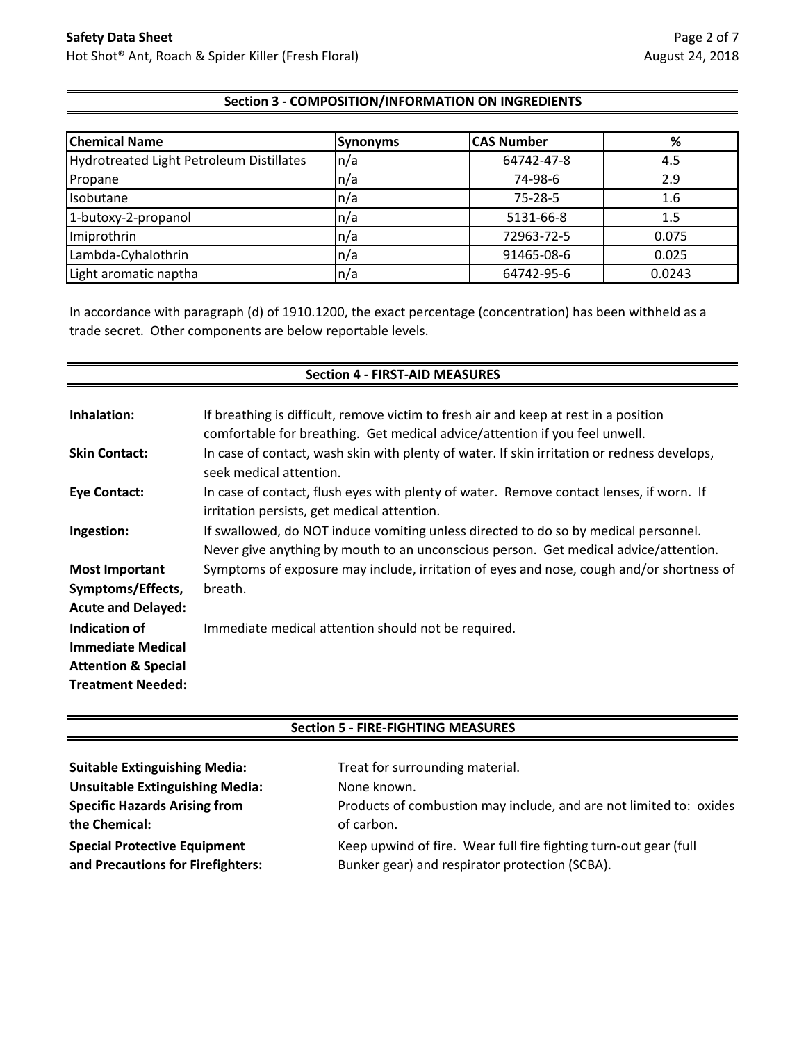### **Section 3 - COMPOSITION/INFORMATION ON INGREDIENTS**

| <b>Chemical Name</b>                     | <b>Synonyms</b>          | <b>CAS Number</b> | %      |
|------------------------------------------|--------------------------|-------------------|--------|
| Hydrotreated Light Petroleum Distillates | n/a                      | 64742-47-8        | 4.5    |
| Propane                                  | $\mathsf{In}/\mathsf{a}$ | 74-98-6           | 2.9    |
| Isobutane                                | $\ln/a$                  | 75-28-5           | 1.6    |
| 1-butoxy-2-propanol                      | $\ln/a$                  | 5131-66-8         | 1.5    |
| Imiprothrin                              | n/a                      | 72963-72-5        | 0.075  |
| Lambda-Cyhalothrin                       | $\ln/a$                  | 91465-08-6        | 0.025  |
| Light aromatic naptha                    | $\mathsf{In}/\mathsf{a}$ | 64742-95-6        | 0.0243 |

In accordance with paragraph (d) of 1910.1200, the exact percentage (concentration) has been withheld as a trade secret. Other components are below reportable levels.

| <b>Section 4 - FIRST-AID MEASURES</b> |                                                                                                                                                                             |  |
|---------------------------------------|-----------------------------------------------------------------------------------------------------------------------------------------------------------------------------|--|
|                                       |                                                                                                                                                                             |  |
| Inhalation:                           | If breathing is difficult, remove victim to fresh air and keep at rest in a position                                                                                        |  |
|                                       | comfortable for breathing. Get medical advice/attention if you feel unwell.                                                                                                 |  |
| <b>Skin Contact:</b>                  | In case of contact, wash skin with plenty of water. If skin irritation or redness develops,<br>seek medical attention.                                                      |  |
| Eye Contact:                          | In case of contact, flush eyes with plenty of water. Remove contact lenses, if worn. If<br>irritation persists, get medical attention.                                      |  |
| Ingestion:                            | If swallowed, do NOT induce vomiting unless directed to do so by medical personnel.<br>Never give anything by mouth to an unconscious person. Get medical advice/attention. |  |
| <b>Most Important</b>                 | Symptoms of exposure may include, irritation of eyes and nose, cough and/or shortness of                                                                                    |  |
| Symptoms/Effects,                     | breath.                                                                                                                                                                     |  |
| <b>Acute and Delayed:</b>             |                                                                                                                                                                             |  |
| Indication of                         | Immediate medical attention should not be required.                                                                                                                         |  |
| <b>Immediate Medical</b>              |                                                                                                                                                                             |  |
| <b>Attention &amp; Special</b>        |                                                                                                                                                                             |  |
| <b>Treatment Needed:</b>              |                                                                                                                                                                             |  |

#### **Section 5 - FIRE-FIGHTING MEASURES**

| <b>Suitable Extinguishing Media:</b>   | Treat for surrounding material.                                    |
|----------------------------------------|--------------------------------------------------------------------|
| <b>Unsuitable Extinguishing Media:</b> | None known.                                                        |
| <b>Specific Hazards Arising from</b>   | Products of combustion may include, and are not limited to: oxides |
| the Chemical:                          | of carbon.                                                         |
| <b>Special Protective Equipment</b>    | Keep upwind of fire. Wear full fire fighting turn-out gear (full   |
| and Precautions for Firefighters:      | Bunker gear) and respirator protection (SCBA).                     |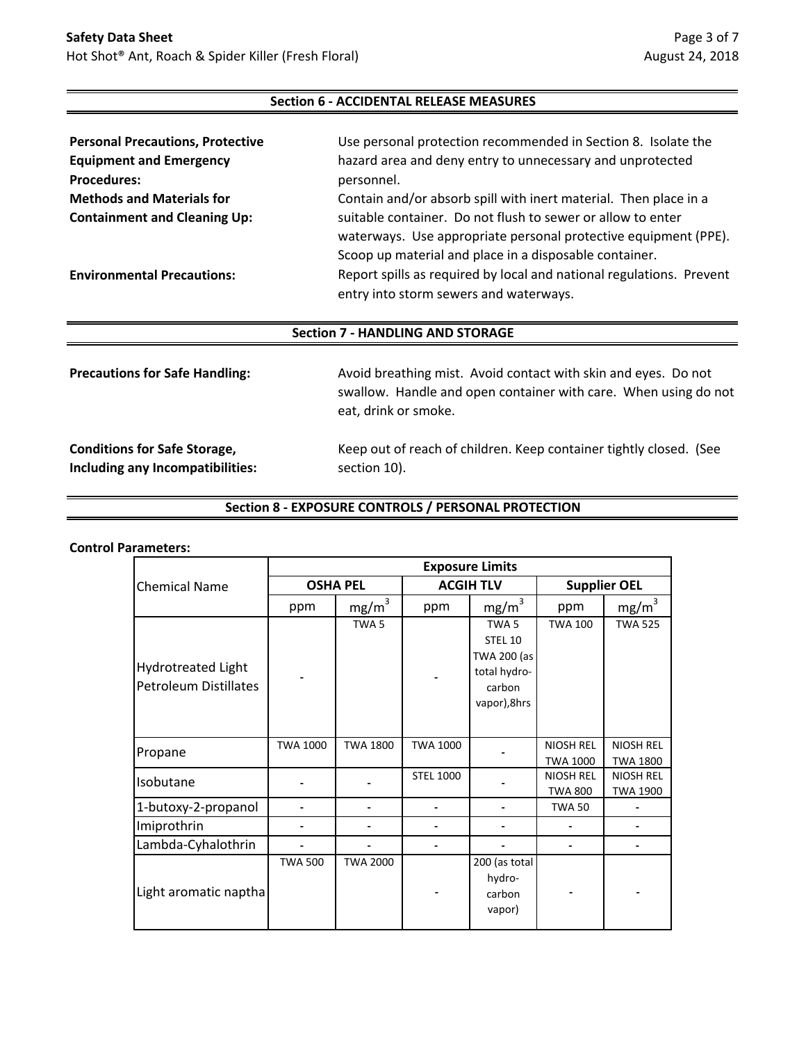#### **Section 6 - ACCIDENTAL RELEASE MEASURES**

| <b>Personal Precautions, Protective</b> | Use personal protection recommended in Section 8. Isolate the                                                                  |
|-----------------------------------------|--------------------------------------------------------------------------------------------------------------------------------|
| <b>Equipment and Emergency</b>          | hazard area and deny entry to unnecessary and unprotected                                                                      |
| <b>Procedures:</b>                      | personnel.                                                                                                                     |
| <b>Methods and Materials for</b>        | Contain and/or absorb spill with inert material. Then place in a                                                               |
| <b>Containment and Cleaning Up:</b>     | suitable container. Do not flush to sewer or allow to enter<br>waterways. Use appropriate personal protective equipment (PPE). |
|                                         | Scoop up material and place in a disposable container.                                                                         |
| <b>Environmental Precautions:</b>       | Report spills as required by local and national regulations. Prevent<br>entry into storm sewers and waterways.                 |

#### **Section 7 - HANDLING AND STORAGE**

| <b>Precautions for Safe Handling:</b> | Avoid breathing mist. Avoid contact with skin and eyes. Do not<br>swallow. Handle and open container with care. When using do not<br>eat, drink or smoke. |
|---------------------------------------|-----------------------------------------------------------------------------------------------------------------------------------------------------------|
| <b>Conditions for Safe Storage,</b>   | Keep out of reach of children. Keep container tightly closed. (See                                                                                        |
| Including any Incompatibilities:      | section 10).                                                                                                                                              |

#### **Section 8 - EXPOSURE CONTROLS / PERSONAL PROTECTION**

#### **Control Parameters:**

|                                             | <b>Exposure Limits</b> |                   |                  |                                                                                     |                                     |                                     |
|---------------------------------------------|------------------------|-------------------|------------------|-------------------------------------------------------------------------------------|-------------------------------------|-------------------------------------|
| <b>Chemical Name</b>                        | <b>OSHA PEL</b>        |                   | <b>ACGIH TLV</b> |                                                                                     | <b>Supplier OEL</b>                 |                                     |
|                                             | ppm                    | mg/m <sup>3</sup> | ppm              | mg/m <sup>3</sup>                                                                   | ppm                                 | mg/m <sup>3</sup>                   |
| Hydrotreated Light<br>Petroleum Distillates |                        | TWA <sub>5</sub>  |                  | TWA <sub>5</sub><br>STEL 10<br>TWA 200 (as<br>total hydro-<br>carbon<br>vapor),8hrs | <b>TWA 100</b>                      | <b>TWA 525</b>                      |
| Propane                                     | <b>TWA 1000</b>        | <b>TWA 1800</b>   | <b>TWA 1000</b>  |                                                                                     | <b>NIOSH REL</b><br><b>TWA 1000</b> | <b>NIOSH REL</b><br><b>TWA 1800</b> |
| Isobutane                                   |                        |                   | <b>STEL 1000</b> |                                                                                     | <b>NIOSH REL</b><br><b>TWA 800</b>  | <b>NIOSH REL</b><br><b>TWA 1900</b> |
| 1-butoxy-2-propanol                         |                        |                   |                  |                                                                                     | <b>TWA 50</b>                       |                                     |
| Imiprothrin                                 |                        |                   |                  |                                                                                     |                                     |                                     |
| Lambda-Cyhalothrin                          |                        |                   |                  |                                                                                     |                                     |                                     |
| Light aromatic naptha                       | <b>TWA 500</b>         | <b>TWA 2000</b>   |                  | 200 (as total<br>hydro-<br>carbon<br>vapor)                                         |                                     |                                     |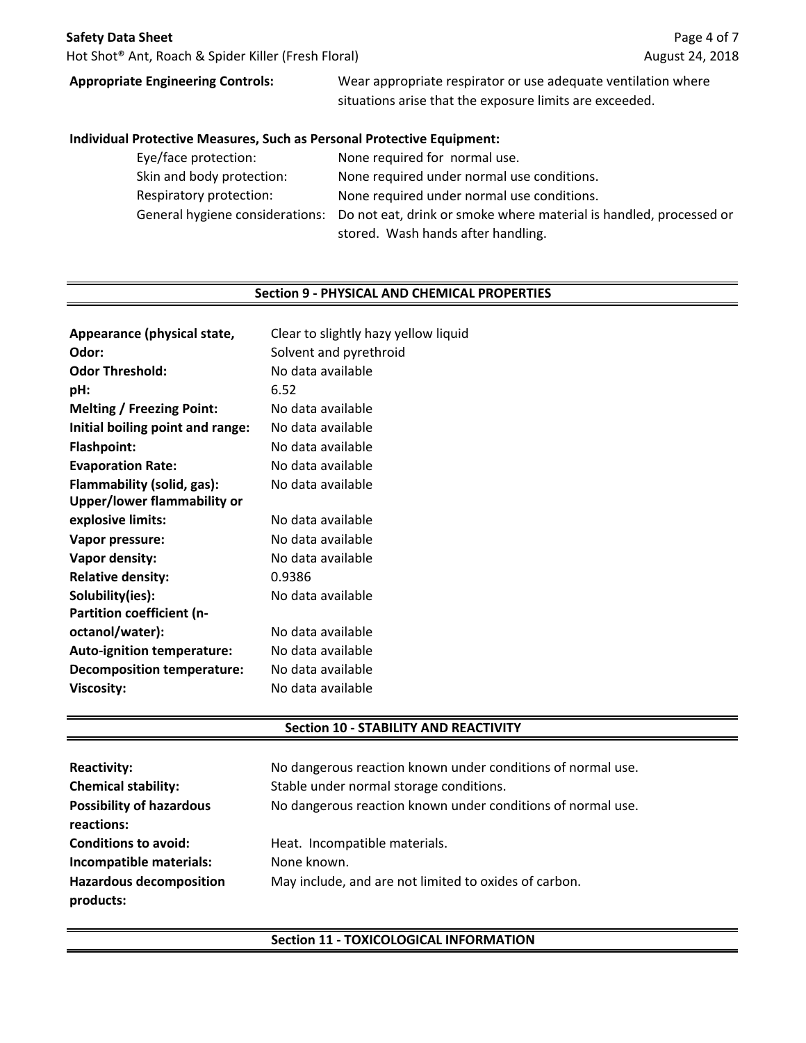Hot Shot® Ant, Roach & Spider Killer (Fresh Floral)

# **Appropriate Engineering Controls:**

Wear appropriate respirator or use adequate ventilation where situations arise that the exposure limits are exceeded.

#### **Individual Protective Measures, Such as Personal Protective Equipment:**

| Eye/face protection:      | None required for normal use.                                                                      |
|---------------------------|----------------------------------------------------------------------------------------------------|
| Skin and body protection: | None required under normal use conditions.                                                         |
| Respiratory protection:   | None required under normal use conditions.                                                         |
|                           | General hygiene considerations: Do not eat, drink or smoke where material is handled, processed or |
|                           | stored. Wash hands after handling.                                                                 |

#### **Section 9 - PHYSICAL AND CHEMICAL PROPERTIES**

| Appearance (physical state,       | Clear to slightly hazy yellow liquid |
|-----------------------------------|--------------------------------------|
| Odor:                             | Solvent and pyrethroid               |
| <b>Odor Threshold:</b>            | No data available                    |
| pH:                               | 6.52                                 |
| <b>Melting / Freezing Point:</b>  | No data available                    |
| Initial boiling point and range:  | No data available                    |
| <b>Flashpoint:</b>                | No data available                    |
| <b>Evaporation Rate:</b>          | No data available                    |
| Flammability (solid, gas):        | No data available                    |
| Upper/lower flammability or       |                                      |
| explosive limits:                 | No data available                    |
| Vapor pressure:                   | No data available                    |
| Vapor density:                    | No data available                    |
| <b>Relative density:</b>          | 0.9386                               |
| Solubility(ies):                  | No data available                    |
| Partition coefficient (n-         |                                      |
| octanol/water):                   | No data available                    |
| <b>Auto-ignition temperature:</b> | No data available                    |
| <b>Decomposition temperature:</b> | No data available                    |
| <b>Viscosity:</b>                 | No data available                    |
|                                   |                                      |

#### **Section 10 - STABILITY AND REACTIVITY**

| <b>Reactivity:</b><br><b>Chemical stability:</b><br><b>Possibility of hazardous</b><br>reactions: | No dangerous reaction known under conditions of normal use.<br>Stable under normal storage conditions.<br>No dangerous reaction known under conditions of normal use. |
|---------------------------------------------------------------------------------------------------|-----------------------------------------------------------------------------------------------------------------------------------------------------------------------|
| <b>Conditions to avoid:</b>                                                                       | Heat. Incompatible materials.                                                                                                                                         |
| Incompatible materials:                                                                           | None known.                                                                                                                                                           |
| <b>Hazardous decomposition</b><br>products:                                                       | May include, and are not limited to oxides of carbon.                                                                                                                 |

# **Section 11 - TOXICOLOGICAL INFORMATION**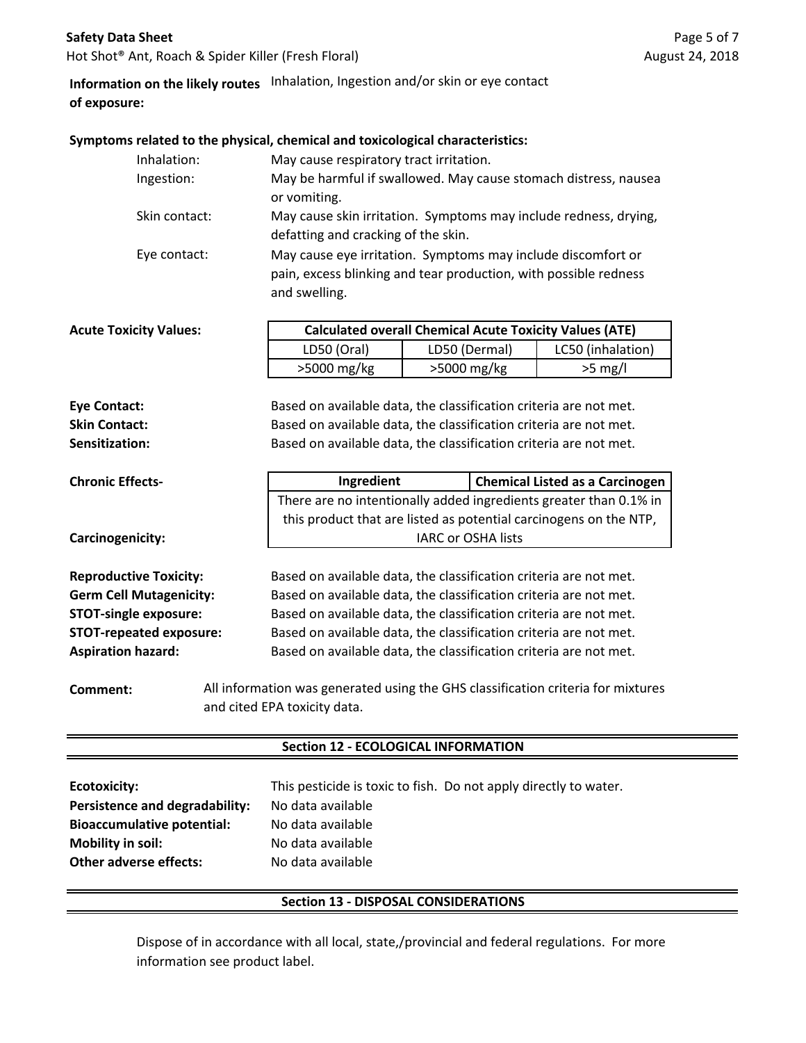#### **Safety Data Sheet**

Hot Shot® Ant, Roach & Spider Killer (Fresh Floral)

# **Information on the likely routes** Inhalation, Ingestion and/or skin or eye contact **of exposure:**

#### **Symptoms related to the physical, chemical and toxicological characteristics:**

| Inhalation:   | May cause respiratory tract irritation.                                                                                                           |
|---------------|---------------------------------------------------------------------------------------------------------------------------------------------------|
| Ingestion:    | May be harmful if swallowed. May cause stomach distress, nausea<br>or vomiting.                                                                   |
| Skin contact: | May cause skin irritation. Symptoms may include redness, drying,<br>defatting and cracking of the skin.                                           |
| Eye contact:  | May cause eye irritation. Symptoms may include discomfort or<br>pain, excess blinking and tear production, with possible redness<br>and swelling. |

| <b>Acute Toxicity Values:</b> | <b>Calculated overall Chemical Acute Toxicity Values (ATE)</b> |               |                   |
|-------------------------------|----------------------------------------------------------------|---------------|-------------------|
|                               | LD50 (Oral)                                                    | LD50 (Dermal) | LC50 (inhalation) |
|                               | $>5000$ mg/kg                                                  | >5000 mg/kg   | $>5$ mg/l         |
|                               |                                                                |               |                   |

**Sensitization:** Based on available data, the classification criteria are not met. **Eye Contact:** Based on available data, the classification criteria are not met. **Skin Contact:** Based on available data, the classification criteria are not met.

| <b>Chronic Effects-</b>       | Ingredient                                                        | <b>Chemical Listed as a Carcinogen</b>                            |  |
|-------------------------------|-------------------------------------------------------------------|-------------------------------------------------------------------|--|
|                               | There are no intentionally added ingredients greater than 0.1% in |                                                                   |  |
|                               |                                                                   | this product that are listed as potential carcinogens on the NTP, |  |
| Carcinogenicity:              |                                                                   | <b>IARC or OSHA lists</b>                                         |  |
|                               |                                                                   |                                                                   |  |
| <b>Reproductive Toxicity:</b> | Based on available data, the classification criteria are not met. |                                                                   |  |

**Germ Cell Mutagenicity: STOT-single exposure: STOT-repeated exposure: Aspiration hazard:**

Based on available data, the classification criteria are not met. Based on available data, the classification criteria are not met. Based on available data, the classification criteria are not met. Based on available data, the classification criteria are not met. Based on available data, the classification criteria are not met.

**Comment:** All information was generated using the GHS classification criteria for mixtures and cited EPA toxicity data.

#### **Section 12 - ECOLOGICAL INFORMATION**

| Ecotoxicity:                      |                   | This pesticide is toxic to fish. Do not apply directly to water. |
|-----------------------------------|-------------------|------------------------------------------------------------------|
| Persistence and degradability:    | No data available |                                                                  |
| <b>Bioaccumulative potential:</b> | No data available |                                                                  |
| <b>Mobility in soil:</b>          | No data available |                                                                  |
| <b>Other adverse effects:</b>     | No data available |                                                                  |

#### **Section 13 - DISPOSAL CONSIDERATIONS**

Dispose of in accordance with all local, state,/provincial and federal regulations. For more information see product label.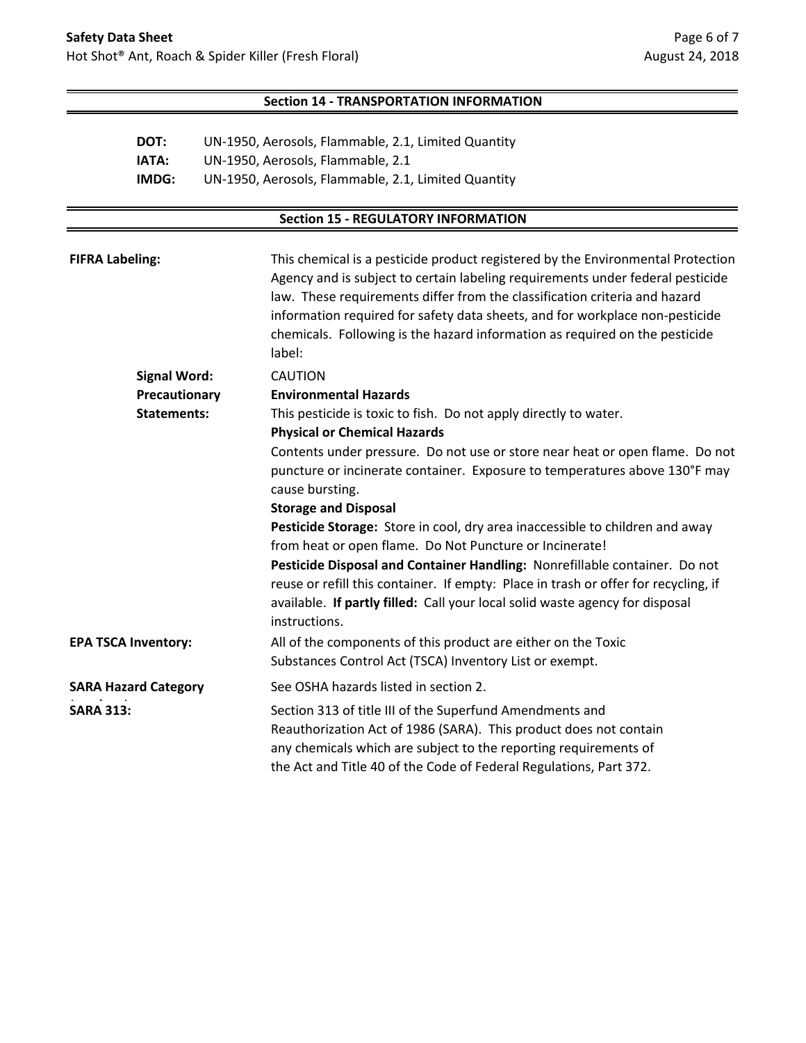### **Section 14 - TRANSPORTATION INFORMATION**

| DOT:  | UN-1950, Aerosols, Flammable, 2.1, Limited Quantity |
|-------|-----------------------------------------------------|
| IATA: | UN-1950, Aerosols, Flammable, 2.1                   |
| IMDG: | UN-1950, Aerosols, Flammable, 2.1, Limited Quantity |

# **Section 15 - REGULATORY INFORMATION**

| <b>FIFRA Labeling:</b>     |                             | This chemical is a pesticide product registered by the Environmental Protection<br>Agency and is subject to certain labeling requirements under federal pesticide<br>law. These requirements differ from the classification criteria and hazard<br>information required for safety data sheets, and for workplace non-pesticide<br>chemicals. Following is the hazard information as required on the pesticide<br>label: |
|----------------------------|-----------------------------|--------------------------------------------------------------------------------------------------------------------------------------------------------------------------------------------------------------------------------------------------------------------------------------------------------------------------------------------------------------------------------------------------------------------------|
|                            | <b>Signal Word:</b>         | <b>CAUTION</b>                                                                                                                                                                                                                                                                                                                                                                                                           |
|                            | Precautionary               | <b>Environmental Hazards</b>                                                                                                                                                                                                                                                                                                                                                                                             |
|                            | <b>Statements:</b>          | This pesticide is toxic to fish. Do not apply directly to water.                                                                                                                                                                                                                                                                                                                                                         |
|                            |                             | <b>Physical or Chemical Hazards</b>                                                                                                                                                                                                                                                                                                                                                                                      |
|                            |                             | Contents under pressure. Do not use or store near heat or open flame. Do not                                                                                                                                                                                                                                                                                                                                             |
|                            |                             | puncture or incinerate container. Exposure to temperatures above 130°F may                                                                                                                                                                                                                                                                                                                                               |
|                            |                             | cause bursting.                                                                                                                                                                                                                                                                                                                                                                                                          |
|                            |                             | <b>Storage and Disposal</b>                                                                                                                                                                                                                                                                                                                                                                                              |
|                            |                             | Pesticide Storage: Store in cool, dry area inaccessible to children and away                                                                                                                                                                                                                                                                                                                                             |
|                            |                             | from heat or open flame. Do Not Puncture or Incinerate!                                                                                                                                                                                                                                                                                                                                                                  |
|                            |                             | Pesticide Disposal and Container Handling: Nonrefillable container. Do not                                                                                                                                                                                                                                                                                                                                               |
|                            |                             | reuse or refill this container. If empty: Place in trash or offer for recycling, if                                                                                                                                                                                                                                                                                                                                      |
|                            |                             | available. If partly filled: Call your local solid waste agency for disposal<br>instructions.                                                                                                                                                                                                                                                                                                                            |
| <b>EPA TSCA Inventory:</b> |                             | All of the components of this product are either on the Toxic                                                                                                                                                                                                                                                                                                                                                            |
|                            |                             | Substances Control Act (TSCA) Inventory List or exempt.                                                                                                                                                                                                                                                                                                                                                                  |
|                            | <b>SARA Hazard Category</b> | See OSHA hazards listed in section 2.                                                                                                                                                                                                                                                                                                                                                                                    |
| <b>SARA 313:</b>           |                             | Section 313 of title III of the Superfund Amendments and<br>Reauthorization Act of 1986 (SARA). This product does not contain<br>any chemicals which are subject to the reporting requirements of<br>the Act and Title 40 of the Code of Federal Regulations, Part 372.                                                                                                                                                  |